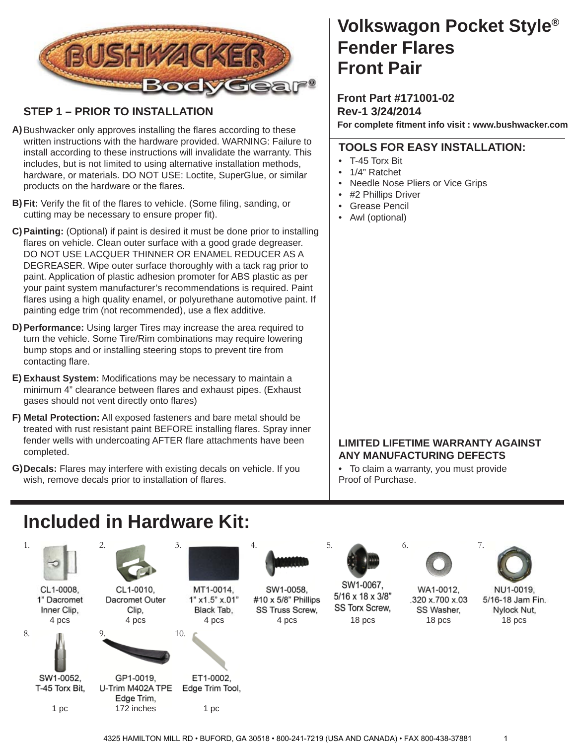

### **STEP 1 – PRIOR TO INSTALLATION**

- A) Bushwacker only approves installing the flares according to these written instructions with the hardware provided. WARNING: Failure to install according to these instructions will invalidate the warranty. This includes, but is not limited to using alternative installation methods, hardware, or materials. DO NOT USE: Loctite, SuperGlue, or similar products on the hardware or the flares.
- **B) Fit:** Verify the fit of the flares to vehicle. (Some filing, sanding, or cutting may be necessary to ensure proper fit).
- **Painting:** (Optional) if paint is desired it must be done prior to installing **C)** flares on vehicle. Clean outer surface with a good grade degreaser. DO NOT USE LACQUER THINNER OR ENAMEL REDUCER AS A DEGREASER. Wipe outer surface thoroughly with a tack rag prior to paint. Application of plastic adhesion promoter for ABS plastic as per your paint system manufacturer's recommendations is required. Paint flares using a high quality enamel, or polyurethane automotive paint. If painting edge trim (not recommended), use a flex additive.
- **Performance:** Using larger Tires may increase the area required to **D)** turn the vehicle. Some Tire/Rim combinations may require lowering bump stops and or installing steering stops to prevent tire from contacting flare.
- E) Exhaust System: Modifications may be necessary to maintain a minimum 4" clearance between flares and exhaust pipes. (Exhaust gases should not vent directly onto flares)
- **Metal Protection:** All exposed fasteners and bare metal should be **F)** treated with rust resistant paint BEFORE installing flares. Spray inner fender wells with undercoating AFTER flare attachments have been completed.
- **Decals:** Flares may interfere with existing decals on vehicle. If you **G)** wish, remove decals prior to installation of flares.

### **Volkswagon Pocket Style® Front Pair Fender Flares**

**Front Part #171001-02 Rev-1 3/24/2014 For complete fi tment info visit : www.bushwacker.com**

#### **TOOLS FOR EASY INSTALLATION:**

- T-45 Torx Bit
- 1/4" Ratchet
- Needle Nose Pliers or Vice Grips
- #2 Phillips Driver
- Grease Pencil
- Awl (optional)

### **LIMITED LIFETIME WARRANTY AGAINST ANY MANUFACTURING DEFECTS**

• To claim a warranty, you must provide Proof of Purchase.

# **Included in Hardware Kit:**

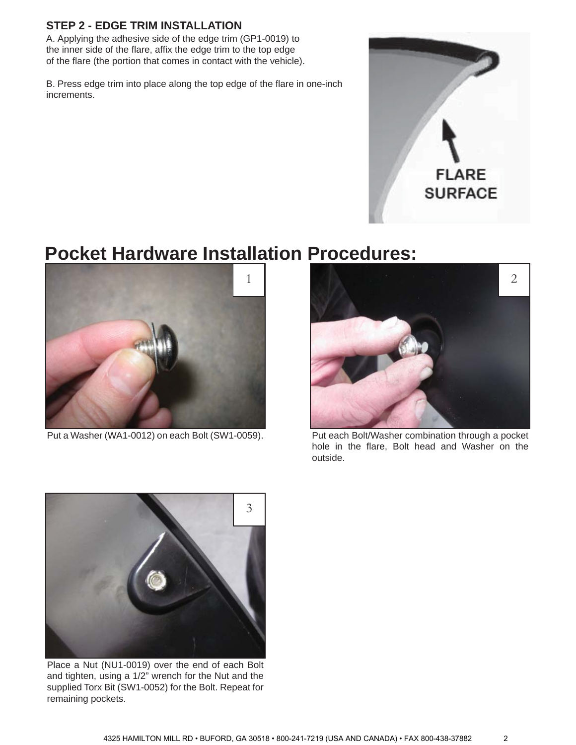#### **STEP 2 - EDGE TRIM INSTALLATION**

A. Applying the adhesive side of the edge trim (GP1-0019) to the inner side of the flare, affix the edge trim to the top edge of the flare (the portion that comes in contact with the vehicle).

B. Press edge trim into place along the top edge of the flare in one-inch increments.



### **Pocket Hardware Installation Procedures:**



Put a Washer (WA1-0012) on each Bolt (SW1-0059).



Put each Bolt/Washer combination through a pocket hole in the flare, Bolt head and Washer on the outside.



Place a Nut (NU1-0019) over the end of each Bolt and tighten, using a 1/2" wrench for the Nut and the supplied Torx Bit (SW1-0052) for the Bolt. Repeat for remaining pockets.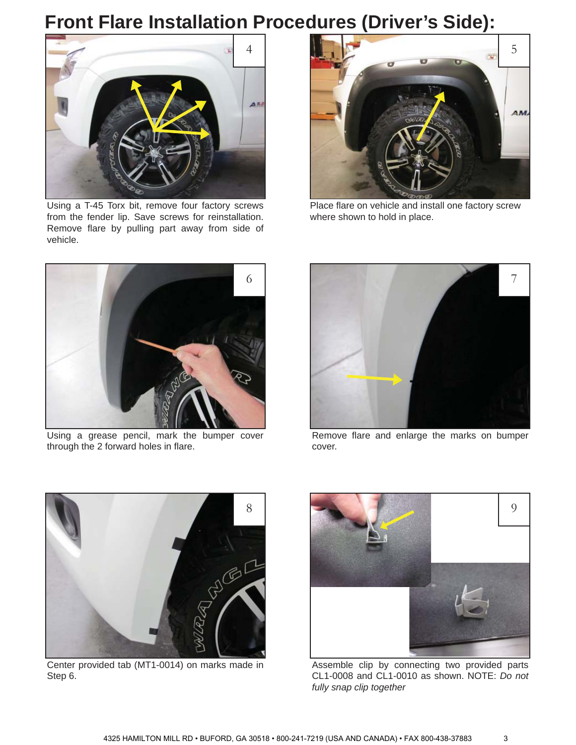# **Front Flare Installation Procedures (Driver's Side):**



Using a T-45 Torx bit, remove four factory screws from the fender lip. Save screws for reinstallation. Remove flare by pulling part away from side of vehicle.



Place flare on vehicle and install one factory screw where shown to hold in place.



Using a grease pencil, mark the bumper cover through the 2 forward holes in flare.



Remove flare and enlarge the marks on bumper cover.



Center provided tab (MT1-0014) on marks made in Step 6.



Assemble clip by connecting two provided parts CL1-0008 and CL1-0010 as shown. NOTE: *Do not fully snap clip together*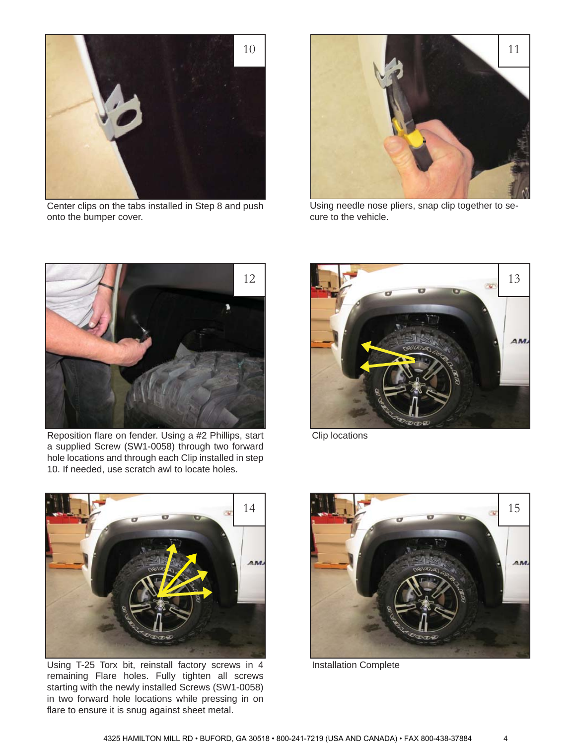

Center clips on the tabs installed in Step 8 and push onto the bumper cover.



Using needle nose pliers, snap clip together to secure to the vehicle.



Reposition flare on fender. Using a #2 Phillips, start a supplied Screw (SW1-0058) through two forward hole locations and through each Clip installed in step 10. If needed, use scratch awl to locate holes.



Clip locations



Using T-25 Torx bit, reinstall factory screws in 4 remaining Flare holes. Fully tighten all screws starting with the newly installed Screws (SW1-0058) in two forward hole locations while pressing in on flare to ensure it is snug against sheet metal.



Installation Complete